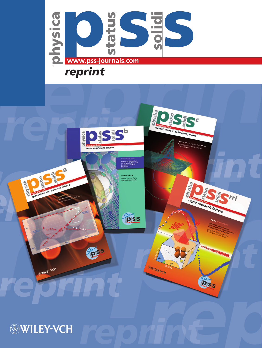

# *reprint*



## **WILEY-VCH**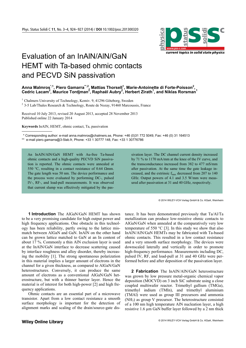

### Evaluation of an InAlN/AlN/GaN HEMT with Ta-based ohmic contacts and PECVD SiN passivation

### $A$ nna Malmros̯ $^{\cdot,1}$ , Piero Gamarra $^{\cdot\cdot,2}$ , Mattias Thorsell̯ $^1$ , Marie-Antoinette di Forte-Poisson $^2$ , **Cedric Lacam<sup>2</sup> , Maurice Tordjman<sup>2</sup> , Raphaël Aubry2 , Herbert Zirath1 , and Niklas Rorsman<sup>1</sup>**

<sup>1</sup> Chalmers University of Technology, Kemiv. 9, 41296 Göteborg, Sweden <sup>2</sup> 2.5 Lab/Theles Bessersh & Technology, Boyta de Negay, 01460 Mercay

3-5 Lab/Thales Research & Technology, Route de Nozay, 91460 Marcoussis, France

Received 10 July 2013, revised 20 August 2013, accepted 28 November 2013 Published online 22 January 2014

**Keywords** InAlN, HEMT, ohmic contact, Ta, passivation

-

\*\* Corresponding author: e-mail anna.malmros@chalmers.se, Phone: +46 (0)31 772 5049, Fax: +46 (0) 31 164513

\*\* e-mail piero.gamarra@3-5lab.fr, Phone: +33 1 30777 148, Fax: +33 1 30776786

An InAlN/AlN/GaN HEMT with Au-free Ta-based ohmic contacts and a high-quality PECVD SiN passivation is reported. The ohmic contacts were annealed at 550 °C, resulting in a contact resistance of 0.64 Ωmm. The gate length was 50 nm. The device performance and the process were evaluated by performing DC-, pulsed IV-, RF-, and load-pull measurements. It was observed that current slump was effectively mitigated by the pas-

**1 Introduction** The AlGaN/GaN HEMT has shown to be a very promising candidate for high output power and high frequency applications. One obstacle in this technology has been reliability, partly owing to the lattice mismatch between AlGaN and GaN. InAlN on the other hand can be grown lattice matched to GaN at an In content of about 17 %. Commonly a thin AlN exclusion layer is used at the InAlN/GaN interface to decrease scattering caused by interface roughness and alloy disorder, thereby increasing the mobility [1]. The strong spontaneous polarization in this material implies a larger amount of electrons in the channel for a given thickness, as compared to AlGaN/GaN heterostructures. Conversely, it can produce the same amount of electrons as a conventional AlGaN/GaN heterostructure, but with a thinner barrier layer. Hence the material is of interest for both high-power [2] and high frequency applications.

Ohmic contacts are an essential part of a microwave transistor. Apart from a low contact resistance a smooth surface morphology is important for the detection of alignment marks and scaling of the drain/source-gate dissivation layer. The DC channel current density increased by 71 % to 1170 mA/mm at the knee of the IV curve, and the transconductance increased from 382 to 477 mS/mm after passivation. At the same time the gate leakage increased, and the extrinsic  $f_{\text{max}}$  decreased from 207 to 140 GHz. Output powers of 4.1 and 3.5 W/mm were measured after passivation at 31 and 40 GHz, respectively.

© 2014 WILEY-VCH Verlag GmbH & Co. KGaA, Weinheim

tance. It has been demonstrated previously that Ta/Al/Ta metallization can produce low-resistive ohmic contacts to AlGaN/GaN when annealed at the comparatively very low temperature of 550  $\degree$ C [3]. In this study we show that also InAlN/AlN/GaN HEMTs may be fabricated with Ta-based ohmic contacts. This resulted in a low contact resistance and a very smooth surface morphology. The devices were downscaled laterally and vertically in order to promote high-frequency performance. Measurements including DC, pulsed IV, RF, and load-pull at 31 and 40 GHz were performed before and after deposition of the passivation layer.

**2 Fabrication** The InAlN/AlN/GaN heterostructure was grown by low pressure metal-organic chemical vapor deposition (MOCVD) on 3 inch SiC substrate using a close coupled multiwafer reactor. Trimethyl gallium (TMGa), trimethyl indium (TMIn), and trimethyl aluminium (TMAl) were used as group III precursors and ammonia (NH3) as group V precursor. The heterostructure consisted of a 100 nm high temperature AlN nucleation layer, a high resistive 1.6 µm GaN buffer layer followed by a 2 nm thick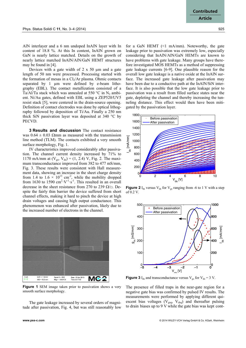AlN interlayer and a 6 nm undoped InAlN layer with In content of 18.8 %. At this In content, InAlN grown on GaN is nearly lattice matched. Details on the growth of nearly lattice matched InAlN/AlN/GaN HEMT structures may be found in [4].

Devices with a gate width of  $2 \times 50 \mu m$  and a gate length of 50 nm were processed. Processing started with the formation of mesas in a  $Cl<sub>2</sub>/Ar$  plasma. Ohmic contacts separated by 1 µm were defined by e-beam lithography (EBL). The contact metallization consisted of a Ta/Al/Ta stack which was annealed at 550  $\degree$ C in N<sub>2</sub> ambient. Ni/Au gates, defined with EBL using a ZEP520/UV5 resist stack [5], were centered in the drain-source opening. Definition of contact electrodes was done by optical lithography followed by deposition of Ti/Au. Finally a 250 nm thick SiN passivation layer was deposited at 340 °C by PECVD.

**3 Results and discussion** The contact resistance was  $0.64 \pm 0.03$  Ωmm as measured with the transmission line method (TLM). The contacts exhibited a very smooth surface morphology, Fig. 1.

IV characteristics improved considerably after passivation. The channel current density increased by 71% to 1170 mA/mm at  $(V_{gs}, V_{ds}) = (1, 2.4) V$ , Fig. 2. The maximum transconductance improved from 382 to 477 mS/mm, Fig. 3. These results were consistent with Hall measurement data, showing an increase in the sheet charge density from 1.4 to  $1.6 \times 10^{13}$  cm<sup>-2</sup>, while the mobility dropped from 1630 to 1590  $\text{cm}^2 \cdot \text{V}^{-1} \cdot \text{s}^{-1}$ . This resulted in an overall decrease in the sheet resistance from 270 to 239  $\Omega/\square$ . Despite the fairly thin barrier the device suffered from short channel effects, making it hard to pinch the device at high drain voltages and causing high output conductance. This phenomenon was enhanced after passivation, likely due to the increased number of electrons in the channel.



**Figure 1** SEM image taken prior to passivation shows a very smooth surface morphology.

The gate leakage increased by several orders of magnitude after passivation, Fig. 4, but was still reasonably low

for a GaN HEMT (<1 mA/mm). Noteworthy, the gate leakage prior to passivation was extremely low, especially considering that InAlN/AlN/GaN HEMTs are known to have problems with gate leakage. Many groups have therefore investigated MOS HEMTs as a method of suppressing gate leakage currents [6-9]. One plausible reason for the overall low gate leakage is a native oxide at the InAlN surface. The increased gate leakage after passivation may have been due to a conductive path at the InAlN/SiN interface. It is also possible that the low gate leakage prior to passivation was a result from filled surface states near the gate, depleting the channel and thereby increasing the tunneling distance. This effect would then have been mitigated by the passivation layer.



**Figure 2** I<sub>ds</sub> versus  $V_{ds}$  for  $V_{gs}$  ranging from -6 to 1 V with a step of 0.2 V.



**Figure 3** I<sub>ds</sub> and transconductance versus  $V_{gs}$  for  $V_{ds} = 3 V$ .

The presence of filled traps in the near-gate region for a negative gate bias was confirmed by pulsed IV results. The measurements were performed by applying different quiescent bias voltages ( $V_{gsq}$ ,  $V_{dsq}$ ) and thereafter pulsing to drain biases up to 9 V while the gate bias was kept cont-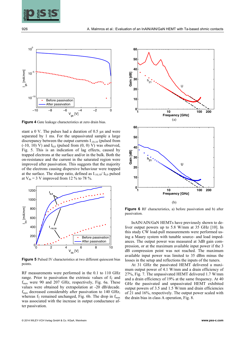

926 **A. Malmros et al.: Evaluation of an InAIN/AIN/GaN HEMT with Ta-based ohmic contacts** 



**Figure 4** Gate leakage characteristics at zero drain bias.

stant a 0 V. The pulses had a duration of 0.5  $\mu$ s and were separated by 1 ms. For the unpassivated sample a large discrepancy between the output currents I-10,10 (pulsed from  $(-10, 10)$  V) and  $I_{0,0}$  (pulsed from  $(0, 0)$  V) was observed, Fig. 5. This is an indication of lag effects, caused by trapped electrons at the surface and/or in the bulk. Both the on-resistance and the current in the saturated region were improved after passivation. This suggests that the majority of the electrons causing dispersive behaviour were trapped at the surface. The slump ratio, defined as  $I_{10,10}/ I_{0,0}$  pulsed at  $V_{ds}$  = 3 V improved from 12 % to 78 %.



**Figure 5** Pulsed IV characteristics at two different quiescent bias points.

RF measurements were performed in the 0.1 to 110 GHz range. Prior to passivation the extrinsic values of  $f<sub>T</sub>$  and  $f_{\text{max}}$  were 90 and 207 GHz, respectively, Fig. 6a. These values were obtained by extrapolation at -20 dB/decade.  $f_{\text{max}}$  decreased considerably after passivation to 140 GHz, whereas  $f_T$  remained unchanged, Fig. 6b. The drop in  $f_{\text{max}}$ was associated with the increase in output conductance after passivation.



**Figure 6** RF characteristics, a) before passivation and b) after passivation.

InAlN/AlN/GaN HEMTs have previously shown to deliver output powers up to 5.8 W/mm at 35 GHz [10]. In this study CW load-pull measurements were performed using a Maury system with tunable source- and load impedances. The output power was measured at 3dB gain compression, or at the maximum available input power if the 3 dB compression point was not reached. The maximum available input power was limited to 35 dBm minus the losses in the setup and reflections the inputs of the tuners.

At 31 GHz the passivated HEMT delivered a maximum output power of 4.1 W/mm and a drain efficiency of 27%, Fig. 7. The unpassivated HEMT delivered 1.7 W/mm and a drain efficiency of 19% at the same frequency. At 40 GHz the passivated and unpassivated HEMT exhibited output powers of 3.5 and 1.5 W/mm and drain efficiencies of 21 and 16%, respectively. The output power scaled with the drain bias in class A operation, Fig. 8.